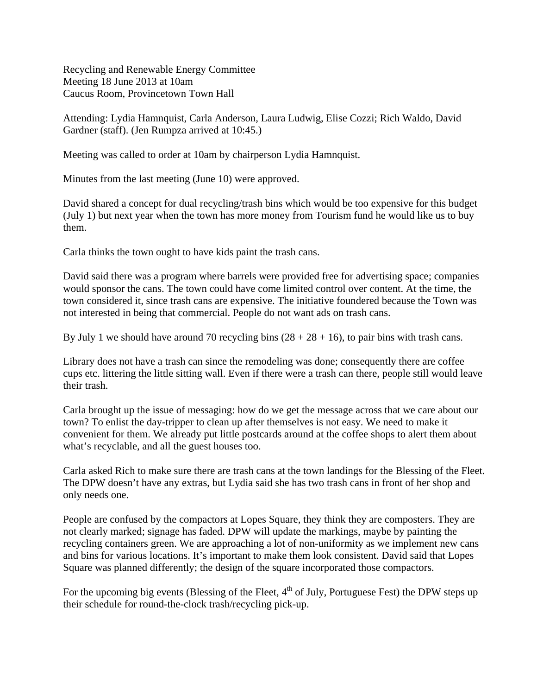Recycling and Renewable Energy Committee Meeting 18 June 2013 at 10am Caucus Room, Provincetown Town Hall

Attending: Lydia Hamnquist, Carla Anderson, Laura Ludwig, Elise Cozzi; Rich Waldo, David Gardner (staff). (Jen Rumpza arrived at 10:45.)

Meeting was called to order at 10am by chairperson Lydia Hamnquist.

Minutes from the last meeting (June 10) were approved.

David shared a concept for dual recycling/trash bins which would be too expensive for this budget (July 1) but next year when the town has more money from Tourism fund he would like us to buy them.

Carla thinks the town ought to have kids paint the trash cans.

David said there was a program where barrels were provided free for advertising space; companies would sponsor the cans. The town could have come limited control over content. At the time, the town considered it, since trash cans are expensive. The initiative foundered because the Town was not interested in being that commercial. People do not want ads on trash cans.

By July 1 we should have around 70 recycling bins  $(28 + 28 + 16)$ , to pair bins with trash cans.

Library does not have a trash can since the remodeling was done; consequently there are coffee cups etc. littering the little sitting wall. Even if there were a trash can there, people still would leave their trash.

Carla brought up the issue of messaging: how do we get the message across that we care about our town? To enlist the day-tripper to clean up after themselves is not easy. We need to make it convenient for them. We already put little postcards around at the coffee shops to alert them about what's recyclable, and all the guest houses too.

Carla asked Rich to make sure there are trash cans at the town landings for the Blessing of the Fleet. The DPW doesn't have any extras, but Lydia said she has two trash cans in front of her shop and only needs one.

People are confused by the compactors at Lopes Square, they think they are composters. They are not clearly marked; signage has faded. DPW will update the markings, maybe by painting the recycling containers green. We are approaching a lot of non-uniformity as we implement new cans and bins for various locations. It's important to make them look consistent. David said that Lopes Square was planned differently; the design of the square incorporated those compactors.

For the upcoming big events (Blessing of the Fleet,  $4<sup>th</sup>$  of July, Portuguese Fest) the DPW steps up their schedule for round-the-clock trash/recycling pick-up.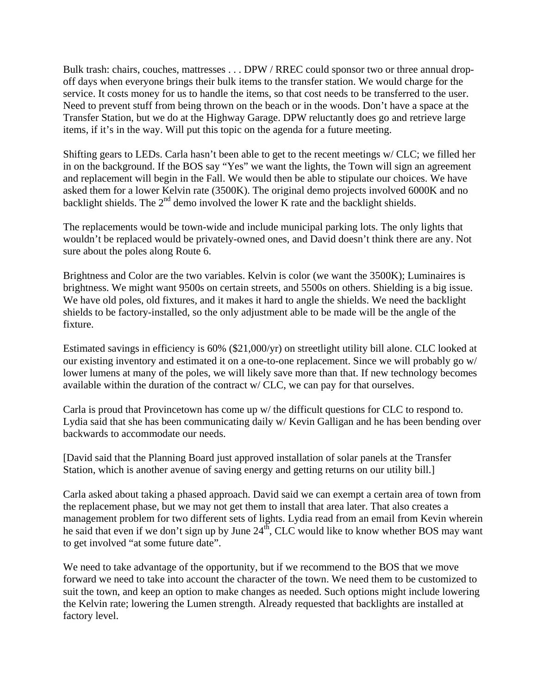Bulk trash: chairs, couches, mattresses . . . DPW / RREC could sponsor two or three annual dropoff days when everyone brings their bulk items to the transfer station. We would charge for the service. It costs money for us to handle the items, so that cost needs to be transferred to the user. Need to prevent stuff from being thrown on the beach or in the woods. Don't have a space at the Transfer Station, but we do at the Highway Garage. DPW reluctantly does go and retrieve large items, if it's in the way. Will put this topic on the agenda for a future meeting.

Shifting gears to LEDs. Carla hasn't been able to get to the recent meetings w/ CLC; we filled her in on the background. If the BOS say "Yes" we want the lights, the Town will sign an agreement and replacement will begin in the Fall. We would then be able to stipulate our choices. We have asked them for a lower Kelvin rate (3500K). The original demo projects involved 6000K and no backlight shields. The  $2<sup>nd</sup>$  demo involved the lower K rate and the backlight shields.

The replacements would be town-wide and include municipal parking lots. The only lights that wouldn't be replaced would be privately-owned ones, and David doesn't think there are any. Not sure about the poles along Route 6.

Brightness and Color are the two variables. Kelvin is color (we want the 3500K); Luminaires is brightness. We might want 9500s on certain streets, and 5500s on others. Shielding is a big issue. We have old poles, old fixtures, and it makes it hard to angle the shields. We need the backlight shields to be factory-installed, so the only adjustment able to be made will be the angle of the fixture.

Estimated savings in efficiency is 60% (\$21,000/yr) on streetlight utility bill alone. CLC looked at our existing inventory and estimated it on a one-to-one replacement. Since we will probably go w/ lower lumens at many of the poles, we will likely save more than that. If new technology becomes available within the duration of the contract w/ CLC, we can pay for that ourselves.

Carla is proud that Provincetown has come up w/ the difficult questions for CLC to respond to. Lydia said that she has been communicating daily w/ Kevin Galligan and he has been bending over backwards to accommodate our needs.

[David said that the Planning Board just approved installation of solar panels at the Transfer Station, which is another avenue of saving energy and getting returns on our utility bill.]

Carla asked about taking a phased approach. David said we can exempt a certain area of town from the replacement phase, but we may not get them to install that area later. That also creates a management problem for two different sets of lights. Lydia read from an email from Kevin wherein he said that even if we don't sign up by June  $24<sup>th</sup>$ , CLC would like to know whether BOS may want to get involved "at some future date".

We need to take advantage of the opportunity, but if we recommend to the BOS that we move forward we need to take into account the character of the town. We need them to be customized to suit the town, and keep an option to make changes as needed. Such options might include lowering the Kelvin rate; lowering the Lumen strength. Already requested that backlights are installed at factory level.